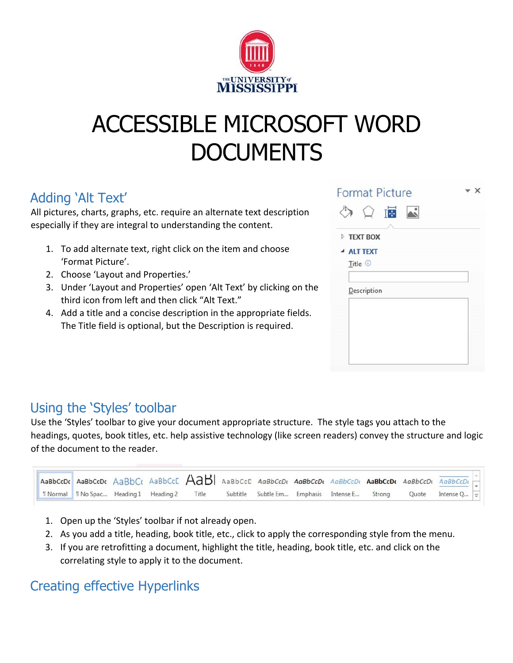

# ACCESSIBLE MICROSOFT WORD **DOCUMENTS**

## Adding 'Alt Text'

All pictures, charts, graphs, etc. require an alternate text description especially if they are integral to understanding the content.

- 1. To add alternate text, right click on the item and choose 'Format Picture'.
- 2. Choose 'Layout and Properties.'
- 3. Under 'Layout and Properties' open 'Alt Text' by clicking on the third icon from left and then click "Alt Text."
- 4. Add a title and a concise description in the appropriate fields. The Title field is optional, but the Description is required.

| <b>Format Picture</b>                                      |  |
|------------------------------------------------------------|--|
| <b>IB</b> A<br>( )<br><b>FEXT BOX</b><br><b>4 ALT TEXT</b> |  |
| Title <sup>1</sup><br>Description                          |  |
|                                                            |  |
|                                                            |  |

# Using the 'Styles' toolbar

Use the 'Styles' toolbar to give your document appropriate structure. The style tags you attach to the headings, quotes, book titles, etc. help assistive technology (like screen readers) convey the structure and logic of the document to the reader.

|  |  | AaBbCcDr AaBbCcDr AaBbCr AaBbCcC AaBbCcD AaBbCcDr AaBbCcDr AaBbCcDr AaBbCcDr AaBbCcDr AaBbCcDr AaBbCcDr |  |                                                                                        |  |  |  |
|--|--|---------------------------------------------------------------------------------------------------------|--|----------------------------------------------------------------------------------------|--|--|--|
|  |  | 1 Normal   1 No Spac Heading 1 Heading 2 Title                                                          |  | Subtitle Subtle Em Emphasis Intense E Strong Quote Intense Q $\boxed{\overline{\div}}$ |  |  |  |

- 1. Open up the 'Styles' toolbar if not already open.
- 2. As you add a title, heading, book title, etc., click to apply the corresponding style from the menu.
- 3. If you are retrofitting a document, highlight the title, heading, book title, etc. and click on the correlating style to apply it to the document.

# Creating effective Hyperlinks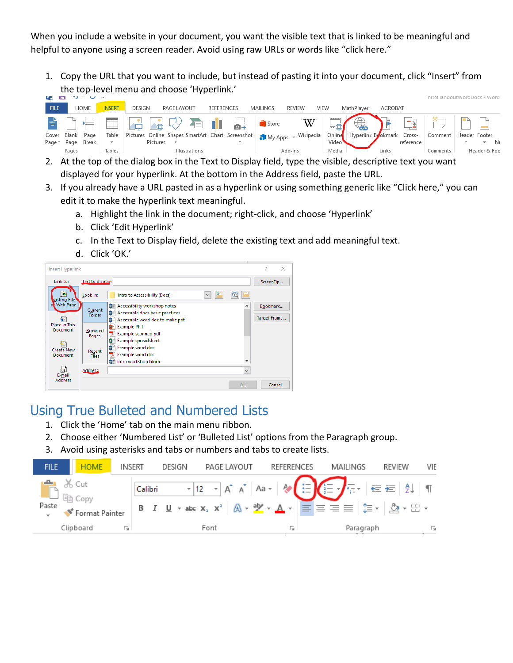When you include a website in your document, you want the visible text that is linked to be meaningful and helpful to anyone using a screen reader. Avoid using raw URLs or words like "click here."

1. Copy the URL that you want to include, but instead of pasting it into your document, click "Insert" from the top-level menu and choose 'Hyperlink.'

|             |             |       |                |        |               |                      |            |                          |                                                                        |               |                    |                    |         |                         | introHandoutWordDocs - Word |              |  |
|-------------|-------------|-------|----------------|--------|---------------|----------------------|------------|--------------------------|------------------------------------------------------------------------|---------------|--------------------|--------------------|---------|-------------------------|-----------------------------|--------------|--|
| <b>FILE</b> | <b>HOME</b> |       | <b>INSERT</b>  | DESIGN | PAGE LAYOUT   |                      | REFERENCES |                          | MAILINGS                                                               | <b>REVIEW</b> | VIEW               | MathPlayer         | ACROBAT |                         |                             |              |  |
|             |             |       | $\overline{a}$ |        | <b>A</b> VEIL |                      |            |                          | <b>Contract Store</b>                                                  | W             |                    |                    |         | $\overline{\mathbb{R}}$ |                             |              |  |
| Cover       | Blank       | Page  | Table          |        |               |                      |            |                          | Pictures Online Shapes SmartArt Chart Screenshot   My Apps + Wikipedia |               | Online             | Hyperlink Bookmark |         | Cross-                  | Comment   Header Footer     |              |  |
| Page * Page |             | Break |                |        | Pictures      |                      |            | $\overline{\phantom{a}}$ |                                                                        |               | Video <sup>v</sup> |                    |         | reference               |                             |              |  |
|             | Pages       |       | Tables         |        |               | <b>Illustrations</b> |            |                          |                                                                        | Add-ins       | Media              |                    | Links   |                         | Comments                    | Header & Foo |  |

- 2. At the top of the dialog box in the Text to Display field, type the visible, descriptive text you want displayed for your hyperlink. At the bottom in the Address field, paste the URL.
- 3. If you already have a URL pasted in as a hyperlink or using something generic like "Click here," you can edit it to make the hyperlink text meaningful.
	- a. Highlight the link in the document; right-click, and choose 'Hyperlink'
	- b. Click 'Edit Hyperlink'
	- c. In the Text to Display field, delete the existing text and add meaningful text.
	- d. Click 'OK.'



#### Using True Bulleted and Numbered Lists

- 1. Click the 'Home' tab on the main menu ribbon.
- 2. Choose either 'Numbered List' or 'Bulleted List' options from the Paragraph group.
- 3. Avoid using asterisks and tabs or numbers and tabs to create lists.

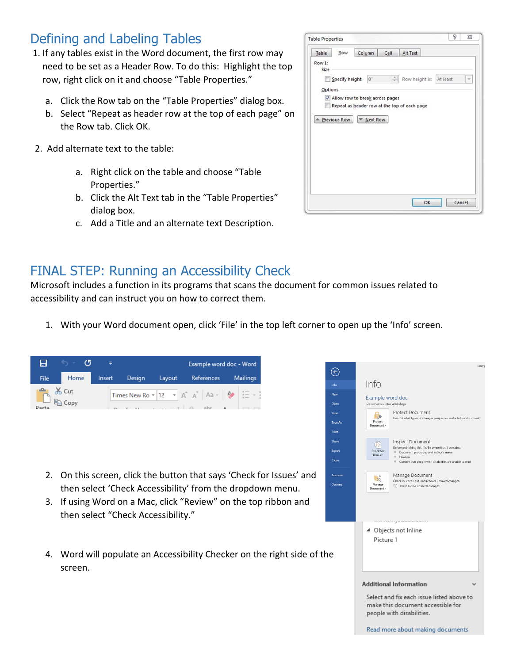#### Defining and Labeling Tables

- 1. If any tables exist in the Word document, the first row may need to be set as a Header Row. To do this: Highlight the top row, right click on it and choose "Table Properties."
	- a. Click the Row tab on the "Table Properties" dialog box.
	- b. Select "Repeat as header row at the top of each page" on the Row tab. Click OK.
- 2. Add alternate text to the table:
	- a. Right click on the table and choose "Table Properties."
	- b. Click the Alt Text tab in the "Table Properties" dialog box.
	- c. Add a Title and an alternate text Description.

| Table   | Row                 | Column                          | Cell                         | Alt Text                                     |        |
|---------|---------------------|---------------------------------|------------------------------|----------------------------------------------|--------|
| Row 1:  |                     |                                 |                              |                                              |        |
| Size    |                     |                                 |                              |                                              |        |
|         | Specify height:     | $0^{\circ}$                     | $\frac{\lambda}{\mathbf{v}}$ | Row height is: At least                      |        |
| Options |                     |                                 |                              |                                              |        |
|         |                     | Allow row to break across pages |                              |                                              |        |
| m       |                     |                                 |                              | Repeat as header row at the top of each page |        |
|         |                     |                                 |                              |                                              |        |
|         | <b>Previous Row</b> | Next Row                        |                              |                                              |        |
|         |                     |                                 |                              |                                              |        |
|         |                     |                                 |                              |                                              |        |
|         |                     |                                 |                              |                                              |        |
|         |                     |                                 |                              |                                              |        |
|         |                     |                                 |                              |                                              |        |
|         |                     |                                 |                              |                                              |        |
|         |                     |                                 |                              |                                              |        |
|         |                     |                                 |                              |                                              |        |
|         |                     |                                 |                              |                                              |        |
|         |                     |                                 |                              |                                              |        |
|         |                     |                                 |                              | OK                                           | Cancel |

#### FINAL STEP: Running an Accessibility Check

Microsoft includes a function in its programs that scans the document for common issues related to accessibility and can instruct you on how to correct them.

1. With your Word document open, click 'File' in the top left corner to open up the 'Info' screen.

| 8                                  | C5<br>=                                                                                                                                                                                                                              | Example word doc - Word                                                                                                                 |                               |                                                  | Examp                                                                                                                                                                                                                                                                            |  |
|------------------------------------|--------------------------------------------------------------------------------------------------------------------------------------------------------------------------------------------------------------------------------------|-----------------------------------------------------------------------------------------------------------------------------------------|-------------------------------|--------------------------------------------------|----------------------------------------------------------------------------------------------------------------------------------------------------------------------------------------------------------------------------------------------------------------------------------|--|
| File<br>ويكم<br>$\frac{d}{dD}$ Cut | Home<br>Design<br>Insert                                                                                                                                                                                                             | References<br>Layout                                                                                                                    | <b>Mailings</b>               | $\odot$<br>Info                                  | Info                                                                                                                                                                                                                                                                             |  |
|                                    | lin Copy                                                                                                                                                                                                                             | Times New Ro $\star$ 12 $\star$ $\begin{vmatrix} A^4 & A^3 \end{vmatrix}$ Aa $\star$ $\begin{vmatrix} A \end{vmatrix}$<br>$\Delta$ abso | $\frac{1}{1}$ = $\frac{1}{2}$ | New<br>Open<br>Save<br>Save As<br>Print<br>Share | Example word doc<br>Documents » Intro Workshops<br>Protect Document<br>$\theta$<br>Control what types of changes people can make to this document.<br>Protect<br>Document -<br><b>Inspect Document</b><br>$\circledS$<br>Before publishing this file, be aware that it contains: |  |
|                                    |                                                                                                                                                                                                                                      |                                                                                                                                         |                               | Export<br>Close                                  | Check for<br>Document properties and author's name<br>Issues -<br>$H$ Headers<br>Content that people with disabilities are unable to read                                                                                                                                        |  |
| 2.<br>3.                           | On this screen, click the button that says 'Check for Issues' and<br>then select 'Check Accessibility' from the dropdown menu.<br>If using Word on a Mac, click "Review" on the top ribbon and<br>then select "Check Accessibility." |                                                                                                                                         |                               | Account<br>Options                               | Manage Document<br>向<br>Check in, check out, and recover unsaved changes.<br>Manage<br>There are no unsaved changes.<br>Document ·                                                                                                                                               |  |
|                                    |                                                                                                                                                                                                                                      |                                                                                                                                         |                               |                                                  | 4 Objects not Inline<br>Picture 1                                                                                                                                                                                                                                                |  |
| 4.                                 | Word will populate an Accessibility Checker on the right side of the<br>screen.                                                                                                                                                      |                                                                                                                                         |                               |                                                  |                                                                                                                                                                                                                                                                                  |  |
|                                    |                                                                                                                                                                                                                                      |                                                                                                                                         |                               |                                                  | <b>Additional Information</b><br>ш<br>Select and fix each issue listed above to<br>make this document accessible for<br>people with disabilities.<br>Read more about making documents                                                                                            |  |